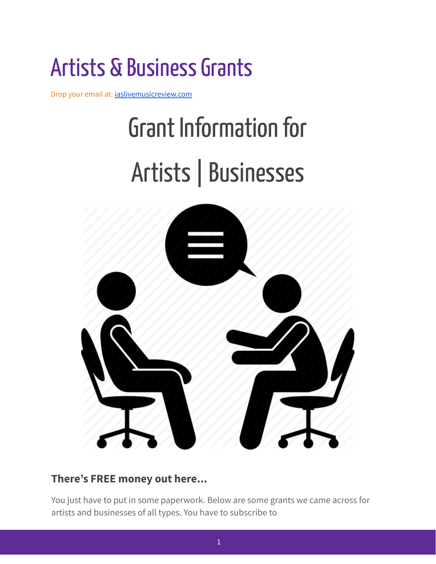## Artists & Business Grants

Drop your email at: [iaslivemusicreview.com](https://www.iaslivemusicreview.com/)

# Grant Information for Artists|Businesses



#### **There's FREE money out here...**

You just have to put in some paperwork. Below are some grants we came across for artists and businesses of all types. You have to subscribe to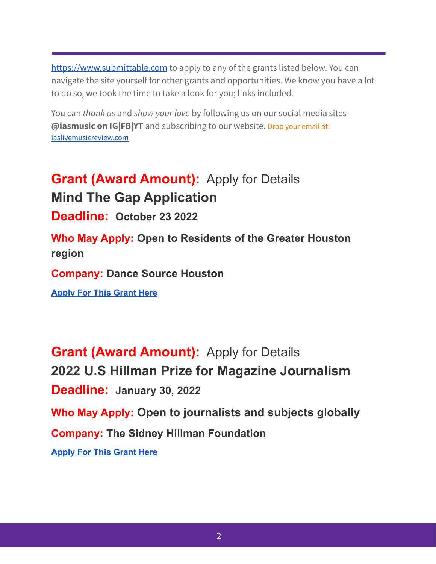<https://www.submittable.com> to apply to any of the grants listed below. You can navigate the site yourself for other grants and opportunities. We know you have a lot to do so, we took the time to take a look for you; links included.

You can *thank us* and *show your love* by following us on our social media sites **@iasmusic on IG|FB|YT** and subscribing to our website. Drop your email at: [iaslivemusicreview.com](https://www.iaslivemusicreview.com/)

**Grant (Award Amount):** Apply for Details **Mind The Gap Application**

**Deadline: October 23 2022**

**Who May Apply: Open to Residents of the Greater Houston region**

**Company: Dance Source Houston**

**[Apply For This Grant Here](https://dancesourcehouston.submittable.com/submit/208072/mind-the-gap-application-spring-2022)**

**Grant (Award Amount):** Apply for Details **2022 U.S Hillman Prize for Magazine Journalism Deadline: January 30, 2022 Who May Apply: Open to journalists and subjects globally Company: The Sidney Hillman Foundation [Apply For This Grant Here](https://thehillmanfoundation.submittable.com/submit/204772/2022-u-s-hillman-prize-for-magazine-journalism)**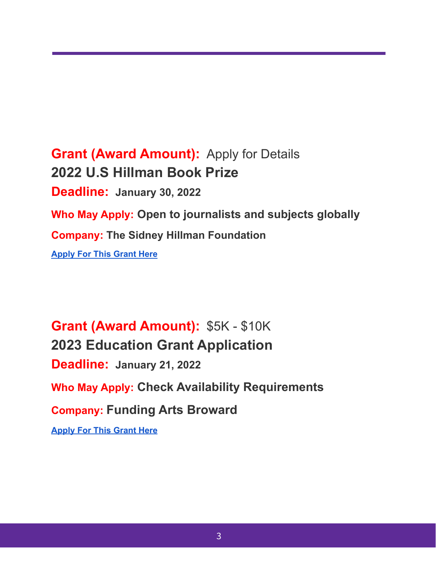**Grant (Award Amount):** Apply for Details **2022 U.S Hillman Book Prize Deadline: January 30, 2022 Who May Apply: Open to journalists and subjects globally Company: The Sidney Hillman Foundation [Apply For This Grant Here](https://thehillmanfoundation.submittable.com/submit/204776/2022-u-s-hillman-book-prize)**

**Grant (Award Amount):** \$5K - \$10K **2023 Education Grant Application Deadline: January 21, 2022 Who May Apply: Check Availability Requirements Company: Funding Arts [Broward](http://fundingartsbroward.org/) [Apply For This Grant Here](https://fab.submittable.com/submit/199526/2023-education-grant-application)**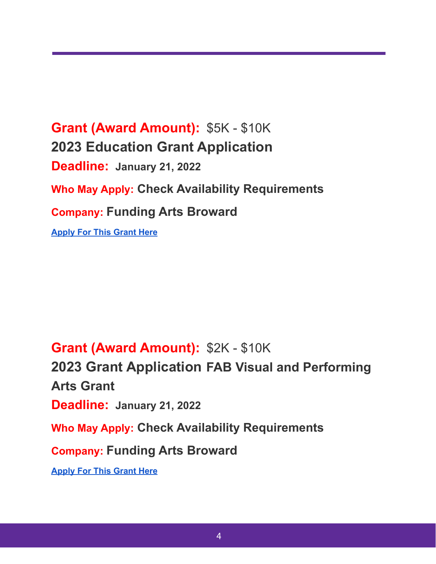**Grant (Award Amount):** \$5K - \$10K **2023 Education Grant Application Deadline: January 21, 2022 Who May Apply: Check Availability Requirements Company: Funding Arts [Broward](http://fundingartsbroward.org/) [Apply For This Grant Here](https://fab.submittable.com/submit/199526/2023-education-grant-application)**

## **Grant (Award Amount):** \$2K - \$10K

**2023 Grant Application FAB Visual and Performing Arts Grant Deadline: January 21, 2022 Who May Apply: Check Availability Requirements Company: Funding Arts [Broward](http://fundingartsbroward.org/) [Apply For This Grant Here](https://fab.submittable.com/submit/203531/2023-grant-application)**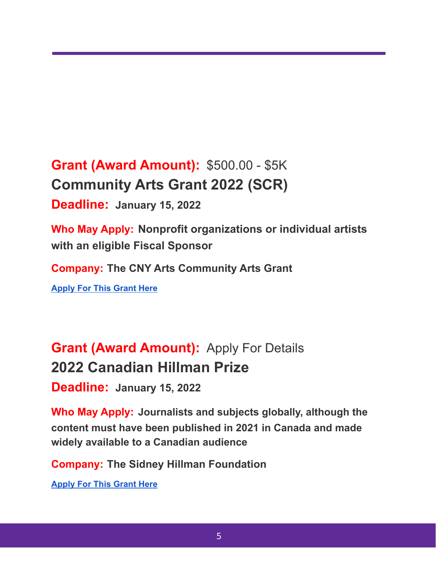**Grant (Award Amount):** \$500.00 - \$5K **Community Arts Grant 2022 (SCR)**

**Deadline: January 15, 2022**

**Who May Apply: Nonprofit organizations or individual artists with an eligible Fiscal Sponsor**

**Company: The CNY Arts Community Arts Grant**

**[Apply For This Grant Here](https://cnyarts.submittable.com/submit/204583/community-arts-grant-2022-scr)**

**Grant (Award Amount):** Apply For Details **2022 Canadian Hillman Prize**

**Deadline: January 15, 2022**

**Who May Apply: Journalists and subjects globally, although the content must have been published in 2021 in Canada and made widely available to a Canadian audience**

**Company: The Sidney Hillman Foundation**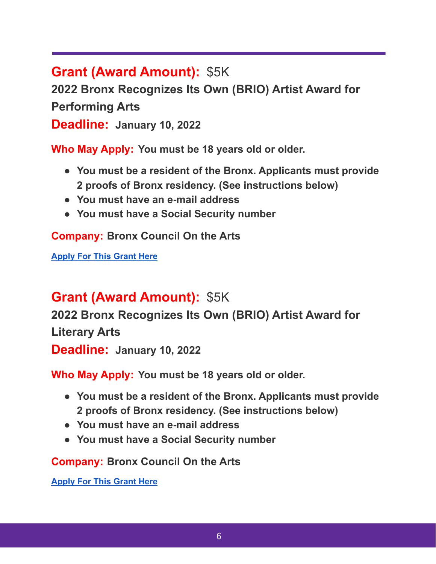**Grant (Award Amount):** \$5K

**2022 Bronx Recognizes Its Own (BRIO) Artist Award for**

**Performing Arts**

**Deadline: January 10, 2022**

**Who May Apply: You must be 18 years old or older.**

- **● You must be a resident of the Bronx. Applicants must provide 2 proofs of Bronx residency. (See instructions below)**
- **● You must have an e-mail address**
- **● You must have a Social Security number**

**Company: Bronx Council On the Arts**

**[Apply For This Grant Here](https://bronxcouncilonthearts.submittable.com/submit/209014/2022-bronx-recognizes-its-own-brio-artist-award-for-performing-arts)**

## **Grant (Award Amount):** \$5K

**2022 Bronx Recognizes Its Own (BRIO) Artist Award for Literary Arts**

**Deadline: January 10, 2022**

**Who May Apply: You must be 18 years old or older.**

- **● You must be a resident of the Bronx. Applicants must provide 2 proofs of Bronx residency. (See instructions below)**
- **● You must have an e-mail address**
- **● You must have a Social Security number**

**Company: Bronx Council On the Arts**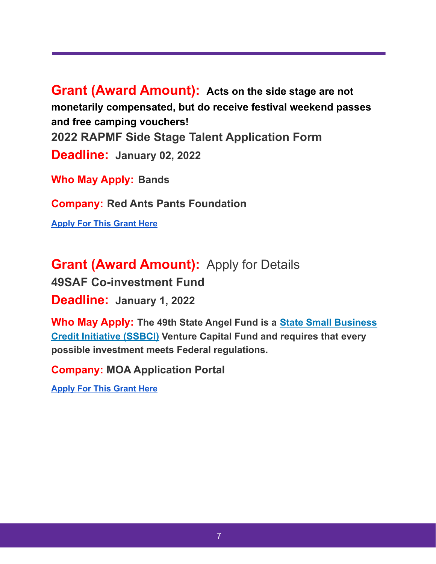**Grant (Award Amount): Acts on the side stage are not monetarily compensated, but do receive festival weekend passes and free camping vouchers! 2022 RAPMF Side Stage Talent Application Form Deadline: January 02, 2022**

**Who May Apply: Bands**

**Company: Red Ants Pants Foundation**

**[Apply For This Grant Here](https://redants.submittable.com/submit/200565/2022-rapmf-side-stage-talent-application-form)**

**Grant (Award Amount):** Apply for Details **49SAF Co-investment Fund Deadline: January 1, 2022**

**Who May Apply: The 49th State Angel Fund is a State [Small Business](https://www.treasury.gov/resource-center/sb-programs/Pages/ssbci.aspx) [Credit Initiative \(SSBCI\)](https://www.treasury.gov/resource-center/sb-programs/Pages/ssbci.aspx) Venture Capital Fund and requires that every possible investment meets Federal regulations.**

**Company: MOA Application Portal**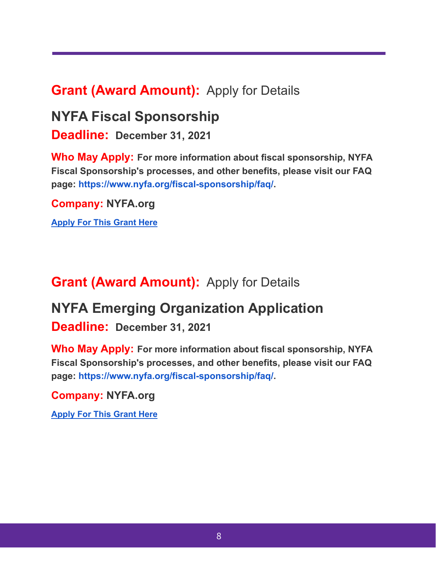## **Grant (Award Amount):** Apply for Details

## **NYFA Fiscal Sponsorship**

**Deadline: December 31, 2021**

**Who May Apply: For more information about fiscal sponsorship, NYFA Fiscal Sponsorship's processes, and other benefits, please visit our FAQ page: <https://www.nyfa.org/fiscal-sponsorship/faq/>.**

**Company: NYFA.org**

**[Apply For This Grant Here](https://nyfasponsorship.submittable.com/submit/191873/2021-artist-project-application-december-31-2021)**

## **Grant (Award Amount):** Apply for Details

## **NYFA Emerging Organization Application**

**Deadline: December 31, 2021**

**Who May Apply: For more information about fiscal sponsorship, NYFA Fiscal Sponsorship's processes, and other benefits, please visit our FAQ page: <https://www.nyfa.org/fiscal-sponsorship/faq/>.**

#### **Company: NYFA.org**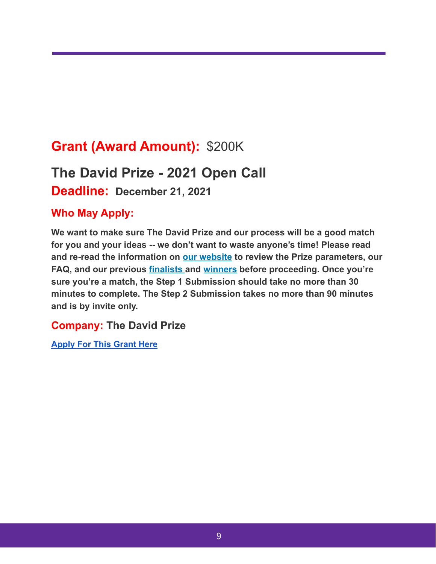## **Grant (Award Amount):** \$200K

## **The David Prize - 2021 Open Call**

**Deadline: December 21, 2021**

#### **Who May Apply:**

**We want to make sure The David Prize and our process will be a good match for you and your ideas -- we don't want to waste anyone's time! Please read and re-read the information on our [website](http://www.thedavidprize.org/) to review the Prize parameters, our FAQ, and our previous [finalists](http://www.thedavidprize.org/finalists) and [winners](http://www.thedavidprize.org/winners) before proceeding. Once you're sure you're a match, the Step 1 Submission should take no more than 30 minutes to complete. The Step 2 Submission takes no more than 90 minutes and is by invite only.**

#### **Company: The David Prize**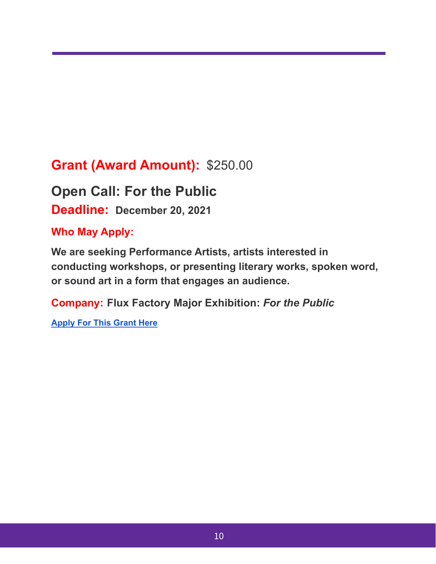## **Grant (Award Amount):** \$250.00

**Open Call: For the Public Deadline: December 20, 2021**

#### **Who May Apply:**

**We are seeking Performance Artists, artists interested in conducting workshops, or presenting literary works, spoken word, or sound art in a form that engages an audience.**

**Company: Flux Factory Major Exhibition:** *For the Public*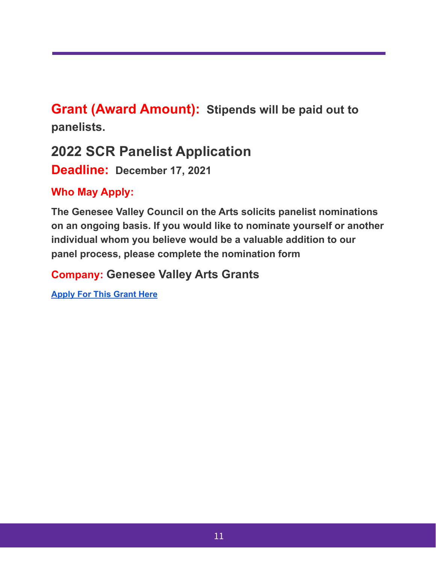**Grant (Award Amount): Stipends will be paid out to panelists.**

## **2022 SCR Panelist Application**

**Deadline: December 17, 2021**

**Who May Apply:**

**The Genesee Valley Council on the Arts solicits panelist nominations on an ongoing basis. If you would like to nominate yourself or another individual whom you believe would be a valuable addition to our panel process, please complete the nomination form**

**Company: Genesee Valley Arts Grants**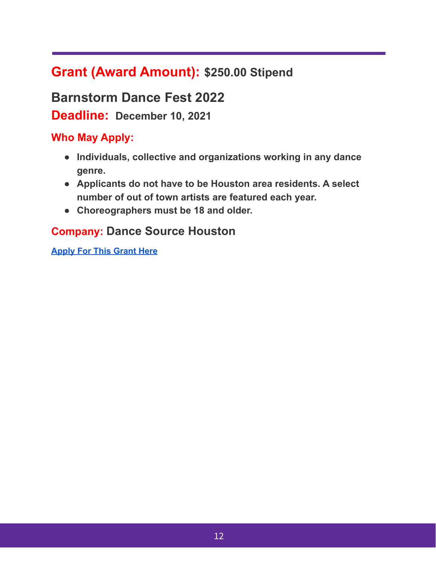## **Grant (Award Amount): \$250.00 Stipend**

**Barnstorm Dance Fest 2022**

**Deadline: December 10, 2021**

#### **Who May Apply:**

- **● Individuals, collective and organizations working in any dance genre.**
- **● Applicants do not have to be Houston area residents. A select number of out of town artists are featured each year.**
- **● Choreographers must be 18 and older.**

#### **Company: Dance Source Houston**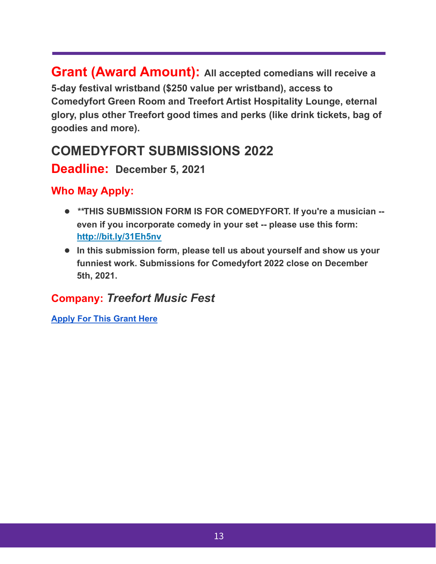**Grant (Award Amount): All accepted comedians will receive a 5-day festival wristband (\$250 value per wristband), access to Comedyfort Green Room and Treefort Artist Hospitality Lounge, eternal glory, plus other Treefort good times and perks (like drink tickets, bag of goodies and more).**

## **COMEDYFORT SUBMISSIONS 2022**

#### **Deadline: December 5, 2021**

#### **Who May Apply:**

- **●** *\*\****THIS SUBMISSION FORM IS FOR COMEDYFORT. If you're a musician - even if you incorporate comedy in your set -- please use this form: <http://bit.ly/31Eh5nv>**
- **● In this submission form, please tell us about yourself and show us your funniest work. Submissions for Comedyfort 2022 close on December 5th, 2021.**

#### **Company:** *Treefort Music Fest*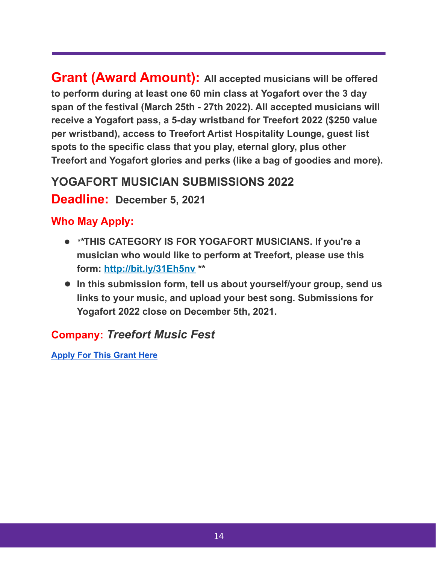**Grant (Award Amount): All accepted musicians will be offered to perform during at least one 60 min class at Yogafort over the 3 day span of the festival (March 25th - 27th 2022). All accepted musicians will receive a Yogafort pass, a 5-day wristband for Treefort 2022 (\$250 value per wristband), access to Treefort Artist Hospitality Lounge, guest list spots to the specific class that you play, eternal glory, plus other Treefort and Yogafort glories and perks (like a bag of goodies and more).**

## **YOGAFORT MUSICIAN SUBMISSIONS 2022**

#### **Deadline: December 5, 2021**

#### **Who May Apply:**

- **●** *\*\****THIS CATEGORY IS FOR YOGAFORT MUSICIANS. If you're a musician who would like to perform at Treefort, please use this form: <http://bit.ly/31Eh5nv> \*\***
- **● In this submission form, tell us about yourself/your group, send us links to your music, and upload your best song. Submissions for Yogafort 2022 close on December 5th, 2021.**

## **Company:** *Treefort Music Fest*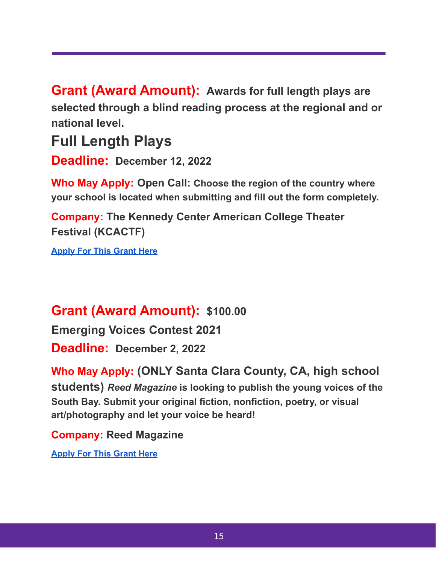**Grant (Award Amount): Awards for full length plays are selected through a blind reading process at the regional and or national level.**

## **Full Length Plays**

**Deadline: December 12, 2022**

**Who May Apply: Open Call: Choose the region of the country where your school is located when submitting and fill out the form completely.**

**Company: The Kennedy Center American College Theater Festival (KCACTF)**

**[Apply For This Grant Here](https://kcactf.submittable.com/submit/146481/full-length-plays)**

## **Grant (Award Amount): \$100.00**

**Emerging Voices Contest 2021**

**Deadline: December 2, 2022**

**Who May Apply: (ONLY Santa Clara County, CA, high school students)** *Reed Magazine* **is looking to publish the young voices of the South Bay. Submit your original fiction, nonfiction, poetry, or visual art/photography and let your voice be heard!**

**Company: Reed Magazine**